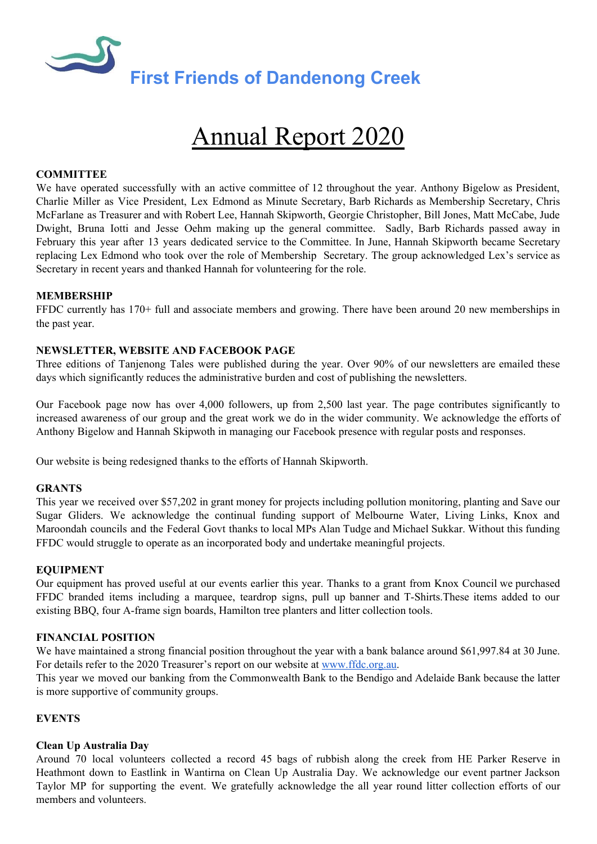

# Annual Report 2020

## **COMMITTEE**

We have operated successfully with an active committee of 12 throughout the year. Anthony Bigelow as President, Charlie Miller as Vice President, Lex Edmond as Minute Secretary, Barb Richards as Membership Secretary, Chris McFarlane as Treasurer and with Robert Lee, Hannah Skipworth, Georgie Christopher, Bill Jones, Matt McCabe, Jude Dwight, Bruna Iotti and Jesse Oehm making up the general committee. Sadly, Barb Richards passed away in February this year after 13 years dedicated service to the Committee. In June, Hannah Skipworth became Secretary replacing Lex Edmond who took over the role of Membership Secretary. The group acknowledged Lex's service as Secretary in recent years and thanked Hannah for volunteering for the role.

## **MEMBERSHIP**

FFDC currently has 170+ full and associate members and growing. There have been around 20 new memberships in the past year.

## **NEWSLETTER, WEBSITE AND FACEBOOK PAGE**

Three editions of Tanjenong Tales were published during the year. Over 90% of our newsletters are emailed these days which significantly reduces the administrative burden and cost of publishing the newsletters.

Our Facebook page now has over 4,000 followers, up from 2,500 last year. The page contributes significantly to increased awareness of our group and the great work we do in the wider community. We acknowledge the efforts of Anthony Bigelow and Hannah Skipwoth in managing our Facebook presence with regular posts and responses.

Our website is being redesigned thanks to the efforts of Hannah Skipworth.

## **GRANTS**

This year we received over \$57,202 in grant money for projects including pollution monitoring, planting and Save our Sugar Gliders. We acknowledge the continual funding support of Melbourne Water, Living Links, Knox and Maroondah councils and the Federal Govt thanks to local MPs Alan Tudge and Michael Sukkar. Without this funding FFDC would struggle to operate as an incorporated body and undertake meaningful projects.

## **EQUIPMENT**

Our equipment has proved useful at our events earlier this year. Thanks to a grant from Knox Council we purchased FFDC branded items including a marquee, teardrop signs, pull up banner and T-Shirts.These items added to our existing BBQ, four A-frame sign boards, Hamilton tree planters and litter collection tools.

#### **FINANCIAL POSITION**

We have maintained a strong financial position throughout the year with a bank balance around \$61,997.84 at 30 June. For details refer to the 2020 Treasurer's report on our website at [www.ffdc.org.au](http://www.ffdc.org.au/).

This year we moved our banking from the Commonwealth Bank to the Bendigo and Adelaide Bank because the latter is more supportive of community groups.

## **EVENTS**

## **Clean Up Australia Day**

Around 70 local volunteers collected a record 45 bags of rubbish along the creek from HE Parker Reserve in Heathmont down to Eastlink in Wantirna on Clean Up Australia Day. We acknowledge our event partner Jackson Taylor MP for supporting the event. We gratefully acknowledge the all year round litter collection efforts of our members and volunteers.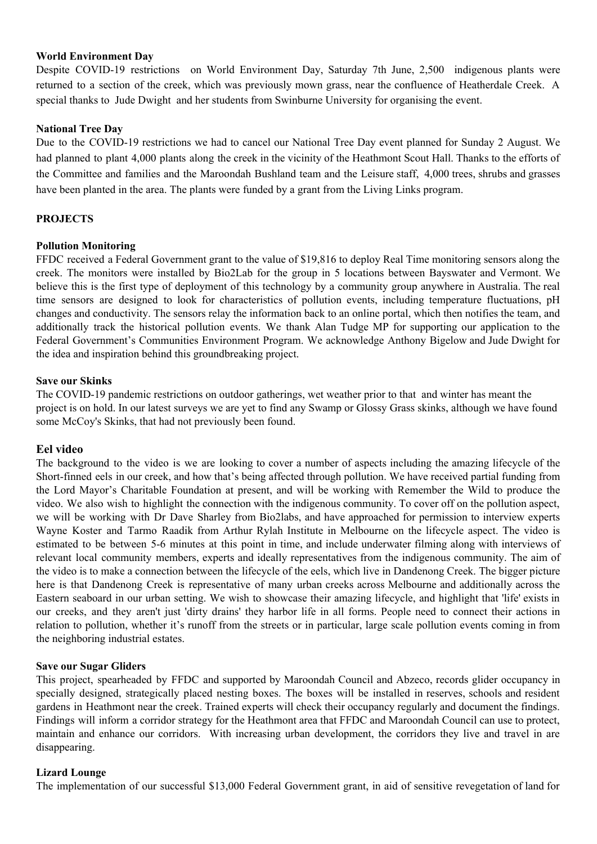## **World Environment Day**

Despite COVID-19 restrictions on World Environment Day, Saturday 7th June, 2,500 indigenous plants were returned to a section of the creek, which was previously mown grass, near the confluence of Heatherdale Creek. A special thanks to Jude Dwight and her students from Swinburne University for organising the event.

## **National Tree Day**

Due to the COVID-19 restrictions we had to cancel our National Tree Day event planned for Sunday 2 August. We had planned to plant 4,000 plants along the creek in the vicinity of the Heathmont Scout Hall. Thanks to the efforts of the Committee and families and the Maroondah Bushland team and the Leisure staff, 4,000 trees, shrubs and grasses have been planted in the area. The plants were funded by a grant from the Living Links program.

## **PROJECTS**

## **Pollution Monitoring**

FFDC received a Federal Government grant to the value of \$19,816 to deploy Real Time monitoring sensors along the creek. The monitors were installed by Bio2Lab for the group in 5 locations between Bayswater and Vermont. We believe this is the first type of deployment of this technology by a community group anywhere in Australia. The real time sensors are designed to look for characteristics of pollution events, including temperature fluctuations, pH changes and conductivity. The sensors relay the information back to an online portal, which then notifies the team, and additionally track the historical pollution events. We thank Alan Tudge MP for supporting our application to the Federal Government's Communities Environment Program. We acknowledge Anthony Bigelow and Jude Dwight for the idea and inspiration behind this groundbreaking project.

## **Save our Skinks**

The COVID-19 pandemic restrictions on outdoor gatherings, wet weather prior to that and winter has meant the project is on hold. In our latest surveys we are yet to find any Swamp or Glossy Grass skinks, although we have found some McCoy's Skinks, that had not previously been found.

## **Eel video**

The background to the video is we are looking to cover a number of aspects including the amazing lifecycle of the Short-finned eels in our creek, and how that's being affected through pollution. We have received partial funding from the Lord Mayor's Charitable Foundation at present, and will be working with Remember the Wild to produce the video. We also wish to highlight the connection with the indigenous community. To cover off on the pollution aspect, we will be working with Dr Dave Sharley from Bio2labs, and have approached for permission to interview experts Wayne Koster and Tarmo Raadik from Arthur Rylah Institute in Melbourne on the lifecycle aspect. The video is estimated to be between 5-6 minutes at this point in time, and include underwater filming along with interviews of relevant local community members, experts and ideally representatives from the indigenous community. The aim of the video is to make a connection between the lifecycle of the eels, which live in Dandenong Creek. The bigger picture here is that Dandenong Creek is representative of many urban creeks across Melbourne and additionally across the Eastern seaboard in our urban setting. We wish to showcase their amazing lifecycle, and highlight that 'life' exists in our creeks, and they aren't just 'dirty drains' they harbor life in all forms. People need to connect their actions in relation to pollution, whether it's runoff from the streets or in particular, large scale pollution events coming in from the neighboring industrial estates.

## **Save our Sugar Gliders**

This project, spearheaded by FFDC and supported by Maroondah Council and Abzeco, records glider occupancy in specially designed, strategically placed nesting boxes. The boxes will be installed in reserves, schools and resident gardens in Heathmont near the creek. Trained experts will check their occupancy regularly and document the findings. Findings will inform a corridor strategy for the Heathmont area that FFDC and Maroondah Council can use to protect, maintain and enhance our corridors. With increasing urban development, the corridors they live and travel in are disappearing.

## **Lizard Lounge**

The implementation of our successful \$13,000 Federal Government grant, in aid of sensitive revegetation of land for